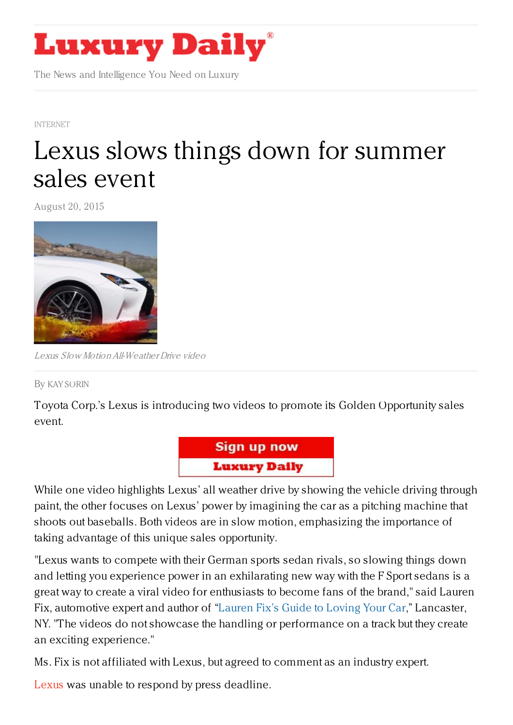

The News and Intelligence You Need on Luxury

[INTERNET](https://www.luxurydaily.com/category/news/internet-news/)

## Lexus slows things down for [summer](https://www.luxurydaily.com/lexus-slows-things-down-for-summer-sales-event/) sales event

August 20, 2015



Lexus Slow MotionAll-WeatherDrive video

By KAY [SORIN](/author/kay-sorin)

Toyota Corp.'s Lexus is introducing two videos to promote its Golden Opportunity sales event.



While one video highlights Lexus' all weather drive by showing the vehicle driving through paint, the other focuses on Lexus' power by imagining the car as a pitching machine that shoots out baseballs. Both videos are in slow motion, emphasizing the importance of taking advantage of this unique sales opportunity.

"Lexus wants to compete with their German sports sedan rivals, so slowing things down and letting you experience power in an exhilarating new way with the F Sport sedans is a great way to create a viral video for enthusiasts to become fans of the brand," said Lauren Fix, automotive expert and author of ["Lauren](https://www.luxurydaily.com/rolls-royce-artisans-tour-asia-to-pull-back-creative-curtain/www.laurenfix.com) Fix's Guide to Loving Your Car," Lancaster, NY. "The videos do not showcase the handling or performance on a track but they create an exciting experience."

Ms. Fix is not affiliated with Lexus, but agreed to comment as an industry expert.

[Lexus](http://www.lexus.com/) was unable to respond by press deadline.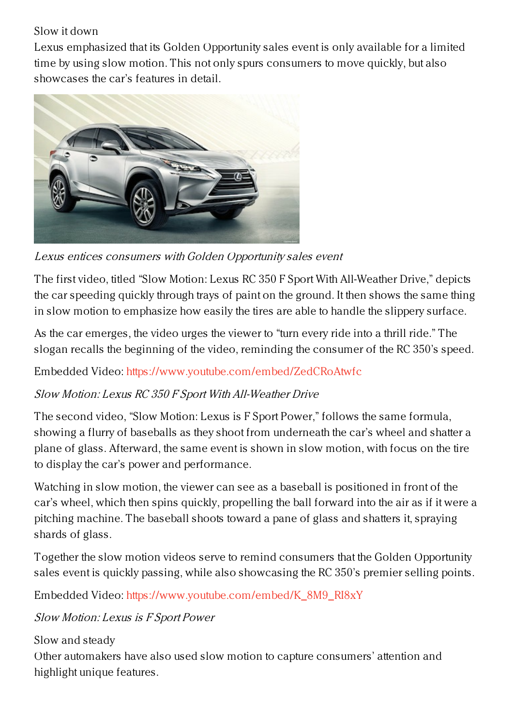## Slow it down

Lexus emphasized that its Golden Opportunity sales event is only available for a limited time by using slow motion. This not only spurs consumers to move quickly, but also showcases the car's features in detail.



Lexus entices consumers with Golden Opportunity sales event

The first video, titled "Slow Motion: Lexus RC 350 F Sport With All-Weather Drive," depicts the car speeding quickly through trays of paint on the ground. It then shows the same thing in slow motion to emphasize how easily the tires are able to handle the slippery surface.

As the car emerges, the video urges the viewer to "turn every ride into a thrill ride." The slogan recalls the beginning of the video, reminding the consumer of the RC 350's speed.

Embedded Video: <https://www.youtube.com/embed/ZedCRoAtwfc>

## Slow Motion: Lexus RC 350 F Sport With All-Weather Drive

The second video, "Slow Motion: Lexus is F Sport Power," follows the same formula, showing a flurry of baseballs as they shoot from underneath the car's wheel and shatter a plane of glass. Afterward, the same event is shown in slow motion, with focus on the tire to display the car's power and performance.

Watching in slow motion, the viewer can see as a baseball is positioned in front of the car's wheel, which then spins quickly, propelling the ball forward into the air as if it were a pitching machine. The baseball shoots toward a pane of glass and shatters it, spraying shards of glass.

Together the slow motion videos serve to remind consumers that the Golden Opportunity sales event is quickly passing, while also showcasing the RC 350's premier selling points.

Embedded Video: [https://www.youtube.com/embed/K\\_8M9\\_RI8xY](https://www.youtube.com/embed/K_8M9_RI8xY)

## Slow Motion: Lexus is F Sport Power

Slow and steady

Other automakers have also used slow motion to capture consumers' attention and highlight unique features.